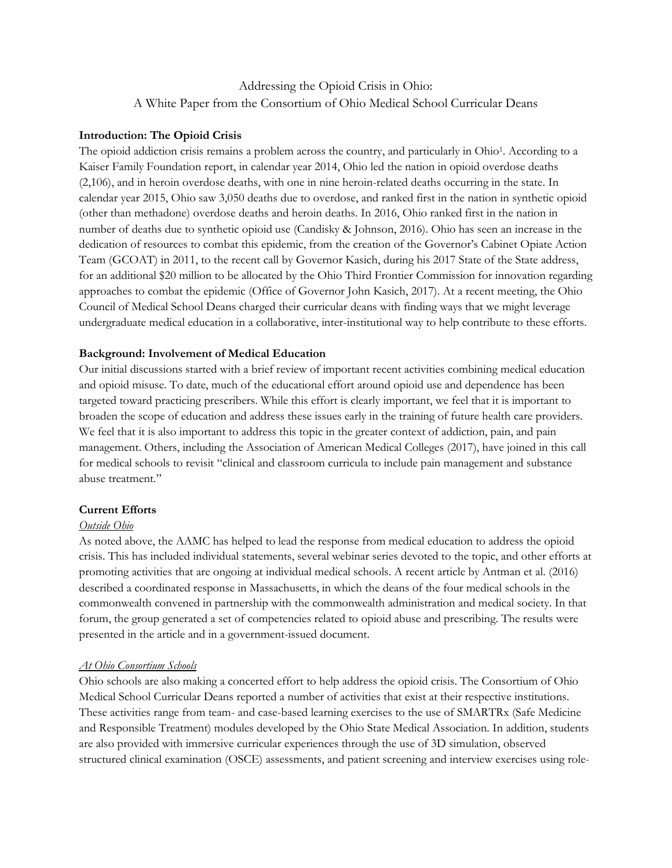# Addressing the Opioid Crisis in Ohio: A White Paper from the Consortium of Ohio Medical School Curricular Deans

## **Introduction: The Opioid Crisis**

The opioid addiction crisis remains a problem across the country, and particularly in Ohio<sup>1</sup>. According to a Kaiser Family Foundation report, in calendar year 2014, Ohio led the nation in opioid overdose deaths (2,106), and in heroin overdose deaths, with one in nine heroin-related deaths occurring in the state. In calendar year 2015, Ohio saw 3,050 deaths due to overdose, and ranked first in the nation in synthetic opioid (other than methadone) overdose deaths and heroin deaths. In 2016, Ohio ranked first in the nation in number of deaths due to synthetic opioid use (Candisky & Johnson, 2016). Ohio has seen an increase in the dedication of resources to combat this epidemic, from the creation of the Governor's Cabinet Opiate Action Team (GCOAT) in 2011, to the recent call by Governor Kasich, during his 2017 State of the State address, for an additional \$20 million to be allocated by the Ohio Third Frontier Commission for innovation regarding approaches to combat the epidemic (Office of Governor John Kasich, 2017). At a recent meeting, the Ohio Council of Medical School Deans charged their curricular deans with finding ways that we might leverage undergraduate medical education in a collaborative, inter-institutional way to help contribute to these efforts.

## **Background: Involvement of Medical Education**

Our initial discussions started with a brief review of important recent activities combining medical education and opioid misuse. To date, much of the educational effort around opioid use and dependence has been targeted toward practicing prescribers. While this effort is clearly important, we feel that it is important to broaden the scope of education and address these issues early in the training of future health care providers. We feel that it is also important to address this topic in the greater context of addiction, pain, and pain management. Others, including the Association of American Medical Colleges (2017), have joined in this call for medical schools to revisit "clinical and classroom curricula to include pain management and substance abuse treatment."

## **Current Efforts**

## *Outside Ohio*

As noted above, the AAMC has helped to lead the response from medical education to address the opioid crisis. This has included individual statements, several webinar series devoted to the topic, and other efforts at promoting activities that are ongoing at individual medical schools. A recent article by Antman et al. (2016) described a coordinated response in Massachusetts, in which the deans of the four medical schools in the commonwealth convened in partnership with the commonwealth administration and medical society. In that forum, the group generated a set of competencies related to opioid abuse and prescribing. The results were presented in the article and in a government-issued document.

## *At Ohio Consortium Schools*

Ohio schools are also making a concerted effort to help address the opioid crisis. The Consortium of Ohio Medical School Curricular Deans reported a number of activities that exist at their respective institutions. These activities range from team- and case-based learning exercises to the use of SMARTRx (Safe Medicine and Responsible Treatment) modules developed by the Ohio State Medical Association. In addition, students are also provided with immersive curricular experiences through the use of 3D simulation, observed structured clinical examination (OSCE) assessments, and patient screening and interview exercises using role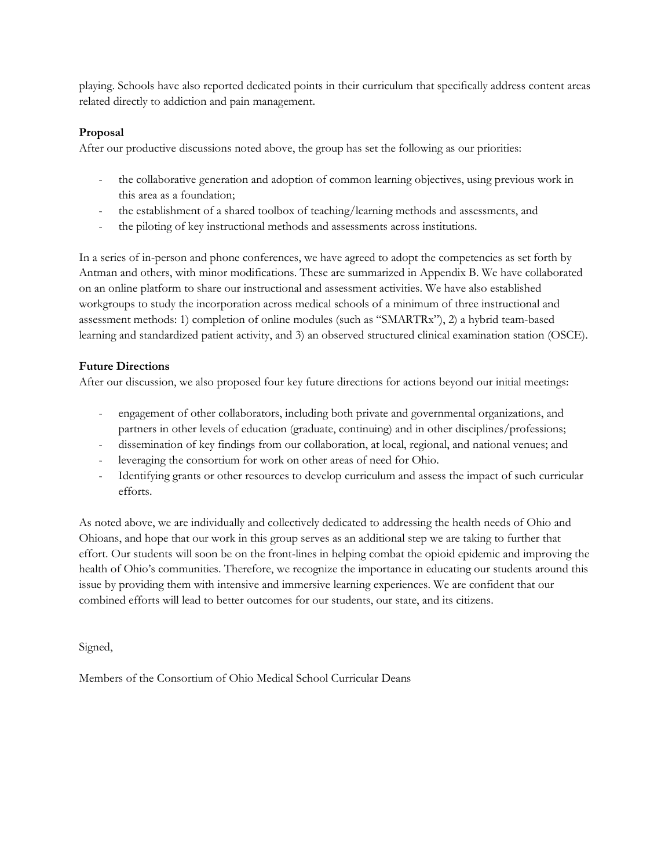playing. Schools have also reported dedicated points in their curriculum that specifically address content areas related directly to addiction and pain management.

## **Proposal**

After our productive discussions noted above, the group has set the following as our priorities:

- the collaborative generation and adoption of common learning objectives, using previous work in this area as a foundation;
- the establishment of a shared toolbox of teaching/learning methods and assessments, and
- the piloting of key instructional methods and assessments across institutions.

In a series of in-person and phone conferences, we have agreed to adopt the competencies as set forth by Antman and others, with minor modifications. These are summarized in Appendix B. We have collaborated on an online platform to share our instructional and assessment activities. We have also established workgroups to study the incorporation across medical schools of a minimum of three instructional and assessment methods: 1) completion of online modules (such as "SMARTRx"), 2) a hybrid team-based learning and standardized patient activity, and 3) an observed structured clinical examination station (OSCE).

## **Future Directions**

After our discussion, we also proposed four key future directions for actions beyond our initial meetings:

- engagement of other collaborators, including both private and governmental organizations, and partners in other levels of education (graduate, continuing) and in other disciplines/professions;
- dissemination of key findings from our collaboration, at local, regional, and national venues; and
- leveraging the consortium for work on other areas of need for Ohio.
- Identifying grants or other resources to develop curriculum and assess the impact of such curricular efforts.

As noted above, we are individually and collectively dedicated to addressing the health needs of Ohio and Ohioans, and hope that our work in this group serves as an additional step we are taking to further that effort. Our students will soon be on the front-lines in helping combat the opioid epidemic and improving the health of Ohio's communities. Therefore, we recognize the importance in educating our students around this issue by providing them with intensive and immersive learning experiences. We are confident that our combined efforts will lead to better outcomes for our students, our state, and its citizens.

Signed,

Members of the Consortium of Ohio Medical School Curricular Deans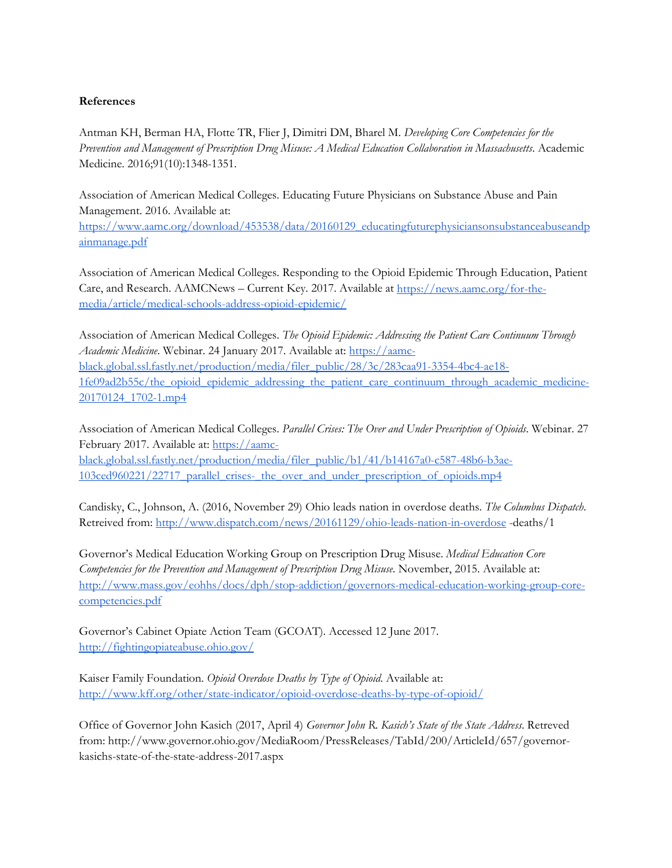#### **References**

Antman KH, Berman HA, Flotte TR, Flier J, Dimitri DM, Bharel M. *Developing Core Competencies for the Prevention and Management of Prescription Drug Misuse: A Medical Education Collaboration in Massachusetts*. Academic Medicine. 2016;91(10):1348-1351.

Association of American Medical Colleges. Educating Future Physicians on Substance Abuse and Pain Management. 2016. Available at:

[https://www.aamc.org/download/453538/data/20160129\\_educatingfuturephysiciansonsubstanceabuseandp](https://www.aamc.org/download/453538/data/20160129_educatingfuturephysiciansonsubstanceabuseandpainmanage.pdf) [ainmanage.pdf](https://www.aamc.org/download/453538/data/20160129_educatingfuturephysiciansonsubstanceabuseandpainmanage.pdf)

Association of American Medical Colleges. Responding to the Opioid Epidemic Through Education, Patient Care, and Research. AAMCNews – Current Key. 2017. Available at [https://news.aamc.org/for-the](https://news.aamc.org/for-the-media/article/medical-schools-address-opioid-epidemic/)[media/article/medical-schools-address-opioid-epidemic/](https://news.aamc.org/for-the-media/article/medical-schools-address-opioid-epidemic/)

Association of American Medical Colleges. *The Opioid Epidemic: Addressing the Patient Care Continuum Through Academic Medicine*. Webinar. 24 January 2017. Available at: [https://aamc](https://aamc-black.global.ssl.fastly.net/production/media/filer_public/28/3c/283caa91-3354-4bc4-ae18-1fe09ad2b55c/the_opioid_epidemic_addressing_the_patient_care_continuum_through_academic_medicine-20170124_1702-1.mp4)[black.global.ssl.fastly.net/production/media/filer\\_public/28/3c/283caa91-3354-4bc4-ae18-](https://aamc-black.global.ssl.fastly.net/production/media/filer_public/28/3c/283caa91-3354-4bc4-ae18-1fe09ad2b55c/the_opioid_epidemic_addressing_the_patient_care_continuum_through_academic_medicine-20170124_1702-1.mp4) [1fe09ad2b55c/the\\_opioid\\_epidemic\\_addressing\\_the\\_patient\\_care\\_continuum\\_through\\_academic\\_medicine-](https://aamc-black.global.ssl.fastly.net/production/media/filer_public/28/3c/283caa91-3354-4bc4-ae18-1fe09ad2b55c/the_opioid_epidemic_addressing_the_patient_care_continuum_through_academic_medicine-20170124_1702-1.mp4)[20170124\\_1702-1.mp4](https://aamc-black.global.ssl.fastly.net/production/media/filer_public/28/3c/283caa91-3354-4bc4-ae18-1fe09ad2b55c/the_opioid_epidemic_addressing_the_patient_care_continuum_through_academic_medicine-20170124_1702-1.mp4)

Association of American Medical Colleges. *Parallel Crises: The Over and Under Prescription of Opioids*. Webinar. 27 February 2017. Available at: [https://aamc](https://aamc-black.global.ssl.fastly.net/production/media/filer_public/b1/41/b14167a0-c587-48b6-b3ae-103ced960221/22717_parallel_crises-_the_over_and_under_prescription_of_opioids.mp4)[black.global.ssl.fastly.net/production/media/filer\\_public/b1/41/b14167a0-c587-48b6-b3ae-](https://aamc-black.global.ssl.fastly.net/production/media/filer_public/b1/41/b14167a0-c587-48b6-b3ae-103ced960221/22717_parallel_crises-_the_over_and_under_prescription_of_opioids.mp4)[103ced960221/22717\\_parallel\\_crises-\\_the\\_over\\_and\\_under\\_prescription\\_of\\_opioids.mp4](https://aamc-black.global.ssl.fastly.net/production/media/filer_public/b1/41/b14167a0-c587-48b6-b3ae-103ced960221/22717_parallel_crises-_the_over_and_under_prescription_of_opioids.mp4)

Candisky, C., Johnson, A. (2016, November 29) Ohio leads nation in overdose deaths. *The Columbus Dispatch*. Retreived from:<http://www.dispatch.com/news/20161129/ohio-leads-nation-in-overdose> -deaths/1

Governor's Medical Education Working Group on Prescription Drug Misuse. *Medical Education Core Competencies for the Prevention and Management of Prescription Drug Misuse*. November, 2015. Available at: [http://www.mass.gov/eohhs/docs/dph/stop-addiction/governors-medical-education-working-group-core](http://www.mass.gov/eohhs/docs/dph/stop-addiction/governors-medical-education-working-group-core-competencies.pdf)[competencies.pdf](http://www.mass.gov/eohhs/docs/dph/stop-addiction/governors-medical-education-working-group-core-competencies.pdf)

Governor's Cabinet Opiate Action Team (GCOAT). Accessed 12 June 2017. <http://fightingopiateabuse.ohio.gov/>

Kaiser Family Foundation. *Opioid Overdose Deaths by Type of Opioid*. Available at: [http://www.kff.org/other/state-indicator/opioid-overdose-deaths-by-type-of-opioid/](http://www.kff.org/other/state-indicator/opioid-overdose-deaths-by-type-of-opioid/?dataView=0¤tTimeframe=0&selectedDistributions=natural-and-semisynthetic-opioids-eg-oxycodone-hydrocodone--synthetic-opioids-other-than-methadone-eg-fentanyl-tramadol--heroin&sortModel=%7B%22colId%22:%22Natural%20and%20Semisynthetic%20Opioids%20(e.g.%20oxycodone,%20hydrocodone)%22,%22sort%22:%22desc%22%7D)

Office of Governor John Kasich (2017, April 4) *Governor John R. Kasich's State of the State Address*. Retreved from: http://www.governor.ohio.gov/MediaRoom/PressReleases/TabId/200/ArticleId/657/governorkasichs-state-of-the-state-address-2017.aspx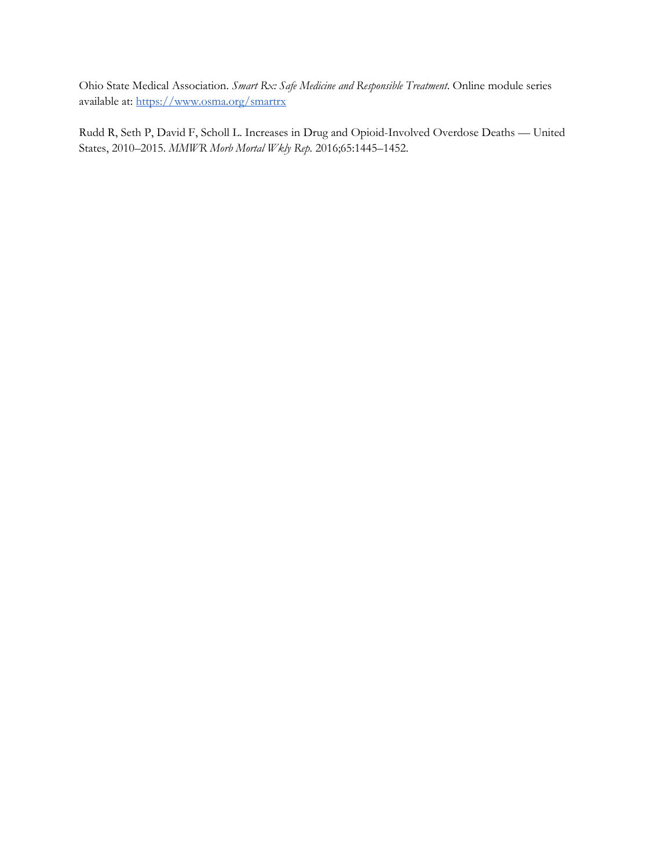Ohio State Medical Association. *Smart Rx: Safe Medicine and Responsible Treatment*. Online module series available at:<https://www.osma.org/smartrx>

Rudd R, Seth P, David F, Scholl L. Increases in Drug and Opioid-Involved Overdose Deaths — United States, 2010–2015. *MMWR Morb Mortal Wkly Rep.* 2016;65:1445–1452.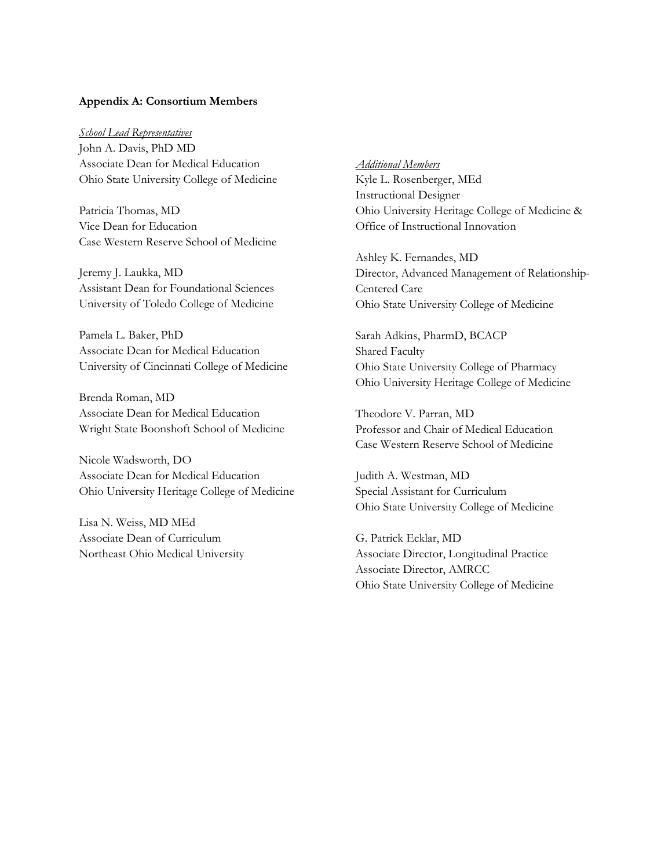#### **Appendix A: Consortium Members**

#### *School Lead Representatives*

John A. Davis, PhD MD Associate Dean for Medical Education Ohio State University College of Medicine

Patricia Thomas, MD Vice Dean for Education Case Western Reserve School of Medicine

Jeremy J. Laukka, MD Assistant Dean for Foundational Sciences University of Toledo College of Medicine

Pamela L. Baker, PhD Associate Dean for Medical Education University of Cincinnati College of Medicine

Brenda Roman, MD Associate Dean for Medical Education Wright State Boonshoft School of Medicine

Nicole Wadsworth, DO Associate Dean for Medical Education Ohio University Heritage College of Medicine

Lisa N. Weiss, MD MEd Associate Dean of Curriculum Northeast Ohio Medical University *Additional Members* Kyle L. Rosenberger, MEd Instructional Designer Ohio University Heritage College of Medicine & Office of Instructional Innovation

Ashley K. Fernandes, MD Director, Advanced Management of Relationship-Centered Care Ohio State University College of Medicine

Sarah Adkins, PharmD, BCACP Shared Faculty Ohio State University College of Pharmacy Ohio University Heritage College of Medicine

Theodore V. Parran, MD Professor and Chair of Medical Education Case Western Reserve School of Medicine

Judith A. Westman, MD Special Assistant for Curriculum Ohio State University College of Medicine

G. Patrick Ecklar, MD Associate Director, Longitudinal Practice Associate Director, AMRCC Ohio State University College of Medicine